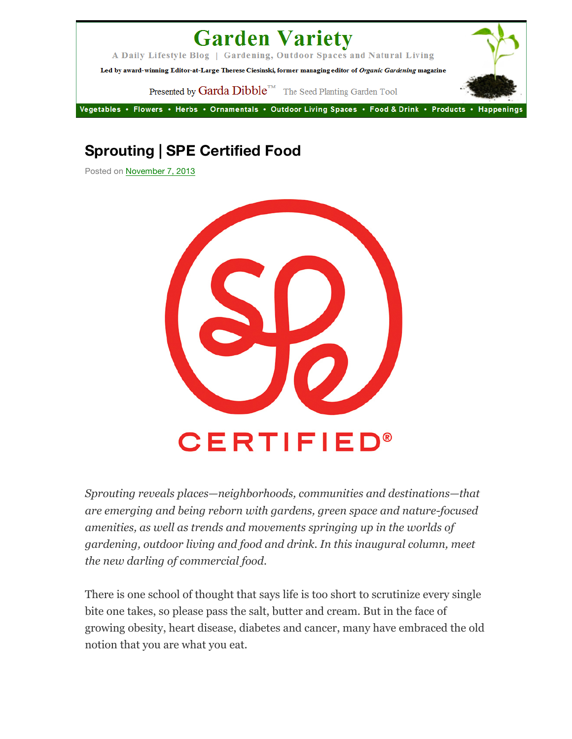## **Garden Variety**

A Daily Lifestyle Blog | Gardening, Outdoor Spaces and Natural Living

Led by award-winning Editor-at-Large Therese Ciesinski, former managing editor of Organic Gardening magazine

Presented by Garda Dibble<sup>TM</sup> The Seed Planting Garden Tool

Vegetables • Flowers • Herbs • Ornamentals • Outdoor Living Spaces • Food & Drink • Products • Happenings

## **Sprouting | SPE Certified Food**

Posted on November 7, 2013



*Sprouting reveals places—neighborhoods, communities and destinations—that are emerging and being reborn with gardens, green space and nature-focused amenities, as well as trends and movements springing up in the worlds of gardening, outdoor living and food and drink. In this inaugural column, meet the new darling of commercial food.*

There is one school of thought that says life is too short to scrutinize every single bite one takes, so please pass the salt, butter and cream. But in the face of growing obesity, heart disease, diabetes and cancer, many have embraced the old notion that you are what you eat.